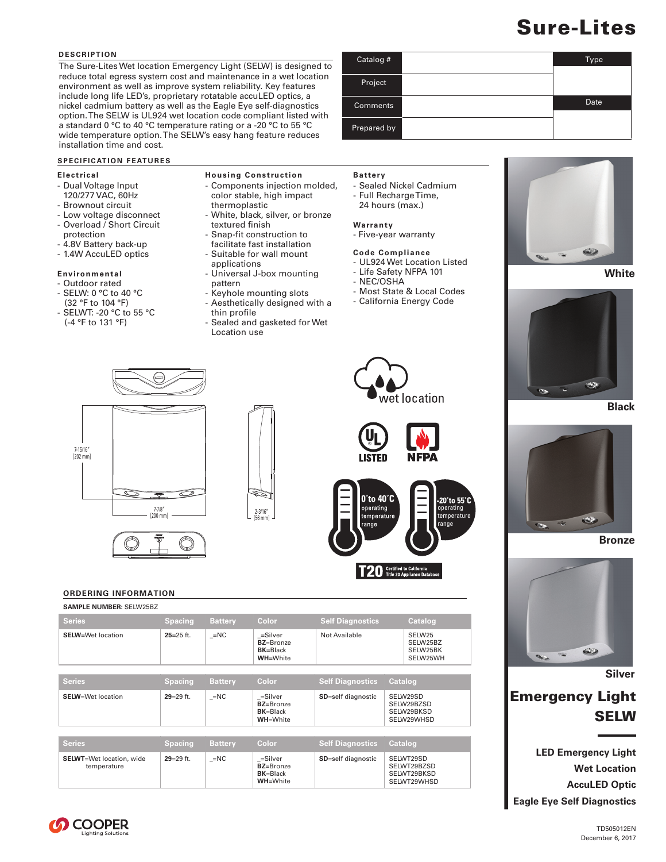# Sure-Lites

Type

Date

#### **DESCRIPTION**

The Sure-Lites Wet location Emergency Light (SELW) is designed to reduce total egress system cost and maintenance in a wet location environment as well as improve system reliability. Key features include long life LED's, proprietary rotatable accuLED optics, a nickel cadmium battery as well as the Eagle Eye self-diagnostics option. The SELW is UL924 wet location code compliant listed with a standard 0 °C to 40 °C temperature rating or a -20 °C to 55 °C wide temperature option. The SELW's easy hang feature reduces installation time and cost.

#### **SPECIFICATION FEATURES**

#### **Electrical**

- Dual Voltage Input 120/277 VAC, 60Hz
- Brownout circuit
- Low voltage disconnect - Overload / Short Circuit
- protection
- 4.8V Battery back-up
- 1.4W AccuLED optics
- 

# **Environmental**

- Outdoor rated - SELW: 0 °C to 40 °C
- (32 °F to 104 °F)
- SELWT: -20 °C to 55 °C (-4 °F to 131 °F)
- **Housing Construction**
- Components injection molded, color stable, high impact
- thermoplastic
- White, black, silver, or bronze textured finish
- Snap-fit construction to
- facilitate fast installation
- Suitable for wall mount applications
- Universal J-box mounting pattern
- Keyhole mounting slots
- Aesthetically designed with a thin profile
- Sealed and gasketed for Wet Location use

### **Battery**

Catalog #

Project

**Comments** 

Prepared by

- Sealed Nickel Cadmium
- Full Recharge Time,
- 24 hours (max.)

#### **Warranty**

- Five-year warranty

#### **Code Compliance**

- UL924 Wet Location Listed
- Life Safety NFPA 101
- NEC/OSHA
- Most State & Local Codes
- California Energy Code



**White**







**Bronze**



**Silver**

# Emergency Light SELW

**LED Emergency Light Wet Location AccuLED Optic Eagle Eye Self Diagnostics**









**NFPA** 

## **ORDERING INFORMATION**

| <b>SAMPLE NUMBER: SELW25BZ</b>                  |                |                |                                                                   |                            |                |                                                        |
|-------------------------------------------------|----------------|----------------|-------------------------------------------------------------------|----------------------------|----------------|--------------------------------------------------------|
| <b>Series</b>                                   | <b>Spacing</b> | <b>Battery</b> | Color                                                             | <b>Self Diagnostics</b>    |                | <b>Catalog</b>                                         |
| <b>SELW</b> =Wet location                       | $25 = 25$ ft.  | $=NC$          | =Silver<br>BZ=Bronze<br>$BK = Black$<br><b>WH=White</b>           | Not Available              |                | SELW25<br>SELW25BZ<br>SELW25BK<br>SELW25WH             |
|                                                 |                |                |                                                                   |                            |                |                                                        |
| <b>Series</b>                                   | <b>Spacing</b> | <b>Battery</b> | Color                                                             | <b>Self Diagnostics</b>    | <b>Catalog</b> |                                                        |
| <b>SELW</b> =Wet location                       | $29 = 29$ ft.  | $=NC$          | =Silver<br><b>BZ=Bronze</b><br><b>BK=Black</b><br><b>WH=White</b> | SD=self diagnostic         |                | SELW29SD<br>SELW29BZSD<br>SELW29BKSD<br>SELW29WHSD     |
|                                                 |                |                |                                                                   |                            |                |                                                        |
| <b>Series</b>                                   | <b>Spacing</b> | <b>Battery</b> | Color                                                             | <b>Self Diagnostics</b>    | <b>Catalog</b> |                                                        |
| <b>SELWT</b> =Wet location, wide<br>temperature | $29 = 29$ ft.  | $=NC$          | =Silver<br><b>BZ=Bronze</b><br><b>BK=Black</b><br><b>WH=White</b> | <b>SD</b> =self diagnostic |                | SELWT29SD<br>SELWT29BZSD<br>SELWT29BKSD<br>SELWT29WHSD |

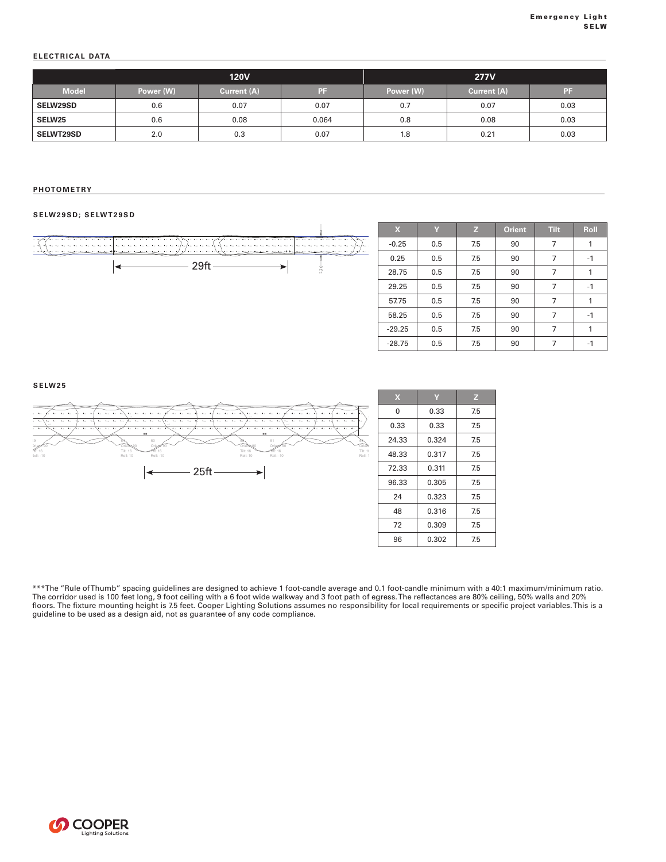#### **ELECTRICAL DATA**

|                  |           | <b>120V</b> |       | <b>277V</b> |             |      |  |
|------------------|-----------|-------------|-------|-------------|-------------|------|--|
| <b>Model</b>     | Power (W) | Current (A) | PF    | Power (W)   | Current (A) | PF   |  |
| <b>SELW29SD</b>  | 0.6       | 0.07        | 0.07  | 0.7         | 0.07        | 0.03 |  |
| <b>SELW25</b>    | 0.6       | 0.08        | 0.064 | 0.8         | 0.08        | 0.03 |  |
| <b>SELWT29SD</b> | 2.0       | 0.3         | 0.07  | 1.8         | 0.21        | 0.03 |  |

#### **PHOTOMETRY** Symbol Qty Label Arrangement Total Lamp Lumens LLF Description

#### **SELW29SD; SELWT29SD**



Illuminance (Fc)

**SELW25**



| $\mathbf x$ | Y     | z   |  |
|-------------|-------|-----|--|
| 0           | 0.33  | 7.5 |  |
| 0.33        | 0.33  | 7.5 |  |
| 24.33       | 0.324 | 7.5 |  |
| 48.33       | 0.317 | 7.5 |  |
| 72.33       | 0.311 | 7.5 |  |
| 96.33       | 0.305 | 7.5 |  |
| 24          | 0.323 | 7.5 |  |
| 48          | 0.316 | 7.5 |  |
| 72          | 0.309 | 7.5 |  |
| 96          | 0.302 | 7.5 |  |

\*\*\*The "Rule of Thumb" spacing guidelines are designed to achieve 1 foot-candle average and 0.1 foot-candle minimum with a 40:1 maximum/minimum ratio. The corridor used is 100 feet long, 9 foot ceiling with a 6 foot wide walkway and 3 foot path of egress. The reflectances are 80% ceiling, 50% walls and 20% floors. The fixture mounting height is 7.5 feet. Cooper Lighting Solutions assumes no responsibility for local requirements or specific project variables. This is a guideline to be used as a design aid, not as guarantee of any code compliance.

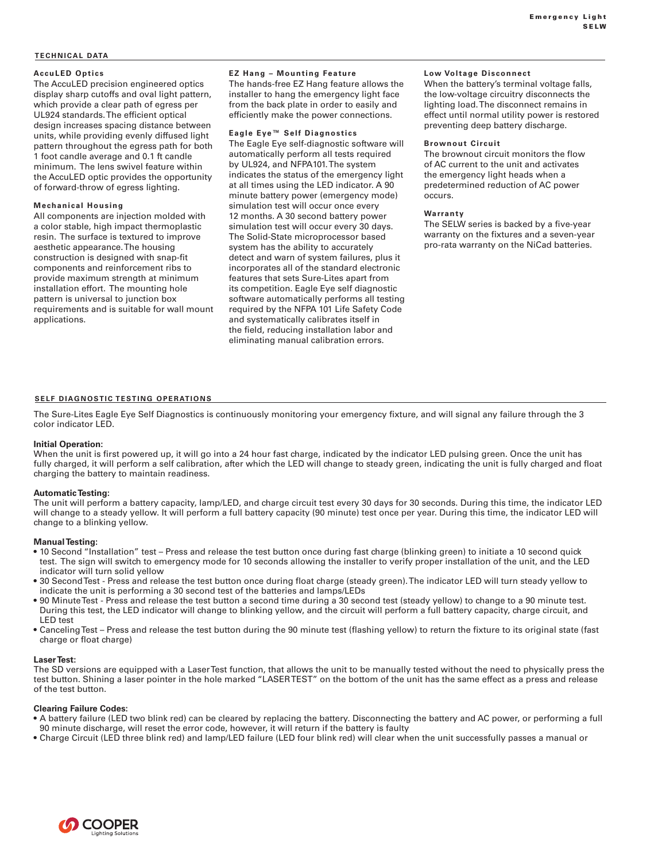#### **TECHNICAL DATA**

#### **AccuLED Optics**

The AccuLED precision engineered optics display sharp cutoffs and oval light pattern, which provide a clear path of egress per UL924 standards. The efficient optical design increases spacing distance between units, while providing evenly diffused light pattern throughout the egress path for both 1 foot candle average and 0.1 ft candle minimum. The lens swivel feature within the AccuLED optic provides the opportunity of forward-throw of egress lighting.

#### **Mechanical Housing**

All components are injection molded with a color stable, high impact thermoplastic resin. The surface is textured to improve aesthetic appearance. The housing construction is designed with snap-fit components and reinforcement ribs to provide maximum strength at minimum installation effort. The mounting hole pattern is universal to junction box requirements and is suitable for wall mount applications.

### **EZ Hang – Mounting Feature**

The hands-free EZ Hang feature allows the installer to hang the emergency light face from the back plate in order to easily and efficiently make the power connections.

#### **Eagle Eye™ Self Diagnostics**

The Eagle Eye self-diagnostic software will automatically perform all tests required by UL924, and NFPA101. The system indicates the status of the emergency light at all times using the LED indicator. A 90 minute battery power (emergency mode) simulation test will occur once every 12 months. A 30 second battery power simulation test will occur every 30 days. The Solid-State microprocessor based system has the ability to accurately detect and warn of system failures, plus it incorporates all of the standard electronic features that sets Sure-Lites apart from its competition. Eagle Eye self diagnostic software automatically performs all testing required by the NFPA 101 Life Safety Code and systematically calibrates itself in the field, reducing installation labor and eliminating manual calibration errors.

#### **Low Voltage Disconnect**

When the battery's terminal voltage falls, the low-voltage circuitry disconnects the lighting load. The disconnect remains in effect until normal utility power is restored preventing deep battery discharge.

#### **Brownout Circuit**

The brownout circuit monitors the flow of AC current to the unit and activates the emergency light heads when a predetermined reduction of AC power occurs.

#### **Warranty**

The SELW series is backed by a five-year warranty on the fixtures and a seven-year pro-rata warranty on the NiCad batteries.

#### **SELF DIAGNOSTIC TESTING OPERATIONS**

The Sure-Lites Eagle Eye Self Diagnostics is continuously monitoring your emergency fixture, and will signal any failure through the 3 color indicator LED.

#### **Initial Operation:**

When the unit is first powered up, it will go into a 24 hour fast charge, indicated by the indicator LED pulsing green. Once the unit has fully charged, it will perform a self calibration, after which the LED will change to steady green, indicating the unit is fully charged and float charging the battery to maintain readiness.

#### **Automatic Testing:**

The unit will perform a battery capacity, lamp/LED, and charge circuit test every 30 days for 30 seconds. During this time, the indicator LED will change to a steady yellow. It will perform a full battery capacity (90 minute) test once per year. During this time, the indicator LED will change to a blinking yellow.

#### **Manual Testing:**

- 10 Second "Installation" test Press and release the test button once during fast charge (blinking green) to initiate a 10 second quick test. The sign will switch to emergency mode for 10 seconds allowing the installer to verify proper installation of the unit, and the LED indicator will turn solid yellow
- 30 Second Test Press and release the test button once during float charge (steady green). The indicator LED will turn steady yellow to indicate the unit is performing a 30 second test of the batteries and lamps/LEDs
- 90 Minute Test Press and release the test button a second time during a 30 second test (steady yellow) to change to a 90 minute test. During this test, the LED indicator will change to blinking yellow, and the circuit will perform a full battery capacity, charge circuit, and LED test
- Canceling Test Press and release the test button during the 90 minute test (flashing yellow) to return the fixture to its original state (fast charge or float charge)

#### **Laser Test:**

The SD versions are equipped with a Laser Test function, that allows the unit to be manually tested without the need to physically press the test button. Shining a laser pointer in the hole marked "LASER TEST" on the bottom of the unit has the same effect as a press and release of the test button.

#### **Clearing Failure Codes:**

- A battery failure (LED two blink red) can be cleared by replacing the battery. Disconnecting the battery and AC power, or performing a full 90 minute discharge, will reset the error code, however, it will return if the battery is faulty
- Charge Circuit (LED three blink red) and lamp/LED failure (LED four blink red) will clear when the unit successfully passes a manual or